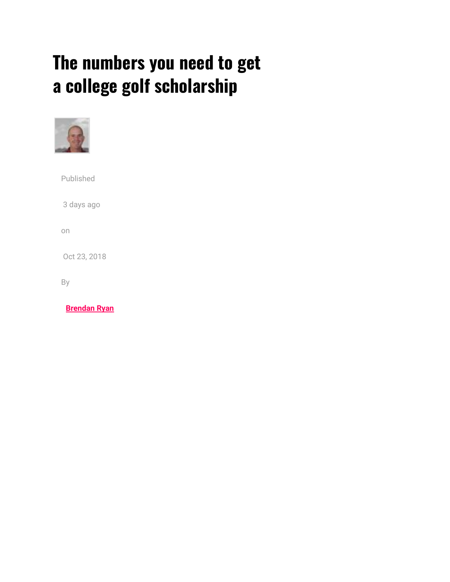## **The numbers you need to get a college golf scholarship**



Published 3 days ago on Oct 23, 2018

By

**[Brendan Ryan](http://www.golfwrx.com/author/brendanryan/)**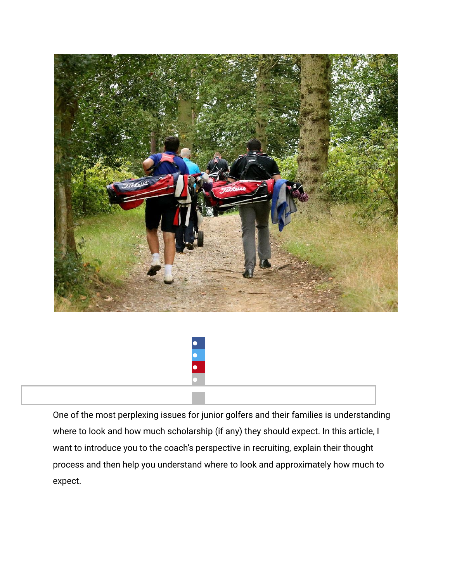



One of the most perplexing issues for junior golfers and their families is understanding where to look and how much scholarship (if any) they should expect. In this article, I want to introduce you to the coach's perspective in recruiting, explain their thought process and then help you understand where to look and approximately how much to expect.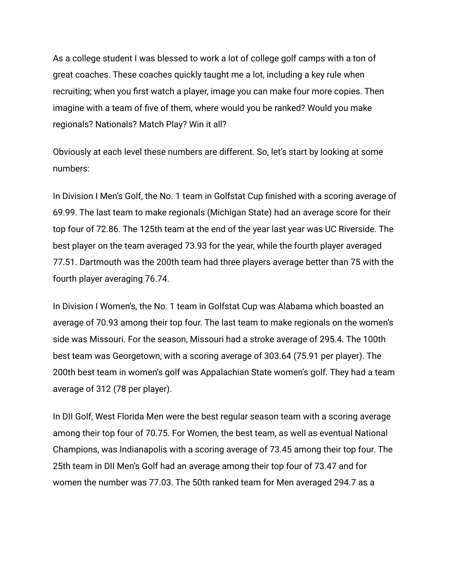As a college student I was blessed to work a lot of college golf camps with a ton of great coaches. These coaches quickly taught me a lot, including a key rule when recruiting; when you first watch a player, image you can make four more copies. Then imagine with a team of five of them, where would you be ranked? Would you make regionals? Nationals? Match Play? Win it all?

Obviously at each level these numbers are different. So, let's start by looking at some numbers:

In Division I Men's Golf, the No. 1 team in Golfstat Cup finished with a scoring average of 69.99. The last team to make regionals (Michigan State) had an average score for their top four of 72.86. The 125th team at the end of the year last year was UC Riverside. The best player on the team averaged 73.93 for the year, while the fourth player averaged 77.51. Dartmouth was the 200th team had three players average better than 75 with the fourth player averaging 76.74.

In Division I Women's, the No. 1 team in Golfstat Cup was Alabama which boasted an average of 70.93 among their top four. The last team to make regionals on the women's side was Missouri. For the season, Missouri had a stroke average of 295.4. The 100th best team was Georgetown, with a scoring average of 303.64 (75.91 per player). The 200th best team in women's golf was Appalachian State women's golf. They had a team average of 312 (78 per player).

In DII Golf, West Florida Men were the best regular season team with a scoring average among their top four of 70.75. For Women, the best team, as well as eventual National Champions, was Indianapolis with a scoring average of 73.45 among their top four. The 25th team in DII Men's Golf had an average among their top four of 73.47 and for women the number was 77.03. The 50th ranked team for Men averaged 294.7 as a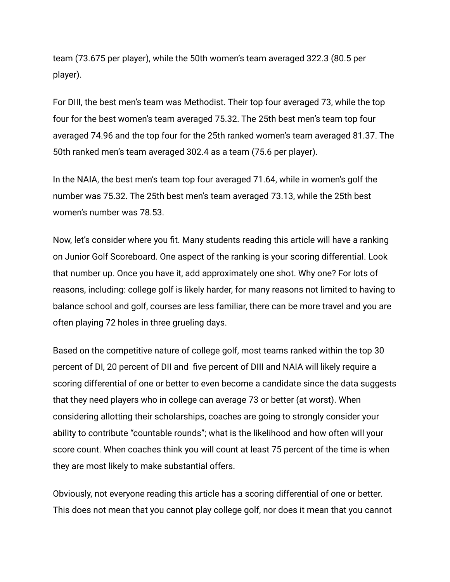team (73.675 per player), while the 50th women's team averaged 322.3 (80.5 per player).

For DIII, the best men's team was Methodist. Their top four averaged 73, while the top four for the best women's team averaged 75.32. The 25th best men's team top four averaged 74.96 and the top four for the 25th ranked women's team averaged 81.37. The 50th ranked men's team averaged 302.4 as a team (75.6 per player).

In the NAIA, the best men's team top four averaged 71.64, while in women's golf the number was 75.32. The 25th best men's team averaged 73.13, while the 25th best women's number was 78.53.

Now, let's consider where you fit. Many students reading this article will have a ranking on Junior Golf Scoreboard. One aspect of the ranking is your scoring differential. Look that number up. Once you have it, add approximately one shot. Why one? For lots of reasons, including: college golf is likely harder, for many reasons not limited to having to balance school and golf, courses are less familiar, there can be more travel and you are often playing 72 holes in three grueling days.

Based on the competitive nature of college golf, most teams ranked within the top 30 percent of DI, 20 percent of DII and five percent of DIII and NAIA will likely require a scoring differential of one or better to even become a candidate since the data suggests that they need players who in college can average 73 or better (at worst). When considering allotting their scholarships, coaches are going to strongly consider your ability to contribute "countable rounds"; what is the likelihood and how often will your score count. When coaches think you will count at least 75 percent of the time is when they are most likely to make substantial offers.

Obviously, not everyone reading this article has a scoring differential of one or better. This does not mean that you cannot play college golf, nor does it mean that you cannot